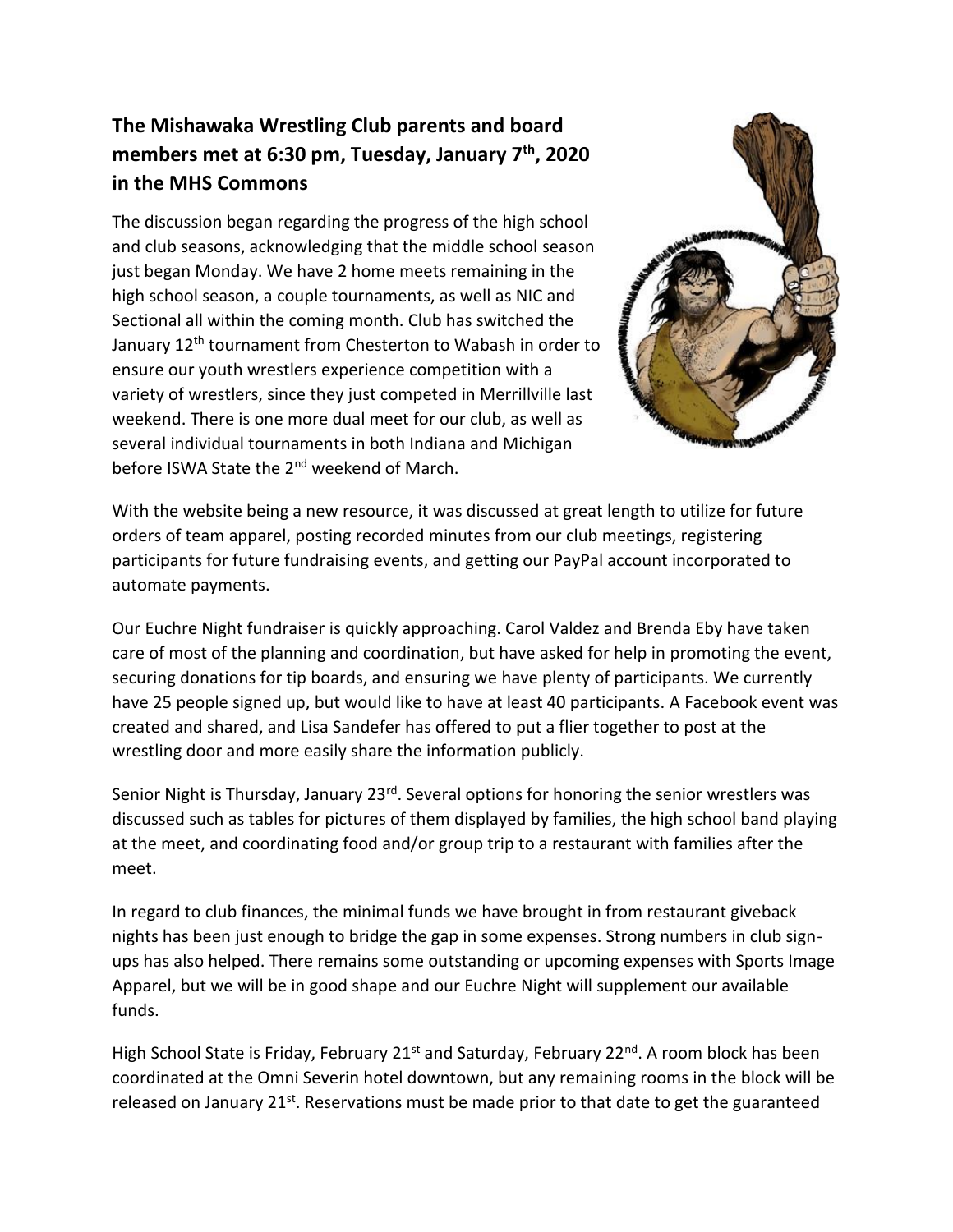## **The Mishawaka Wrestling Club parents and board members met at 6:30 pm, Tuesday, January 7th, 2020 in the MHS Commons**

The discussion began regarding the progress of the high school and club seasons, acknowledging that the middle school season just began Monday. We have 2 home meets remaining in the high school season, a couple tournaments, as well as NIC and Sectional all within the coming month. Club has switched the January 12<sup>th</sup> tournament from Chesterton to Wabash in order to ensure our youth wrestlers experience competition with a variety of wrestlers, since they just competed in Merrillville last weekend. There is one more dual meet for our club, as well as several individual tournaments in both Indiana and Michigan before ISWA State the 2<sup>nd</sup> weekend of March.



With the website being a new resource, it was discussed at great length to utilize for future orders of team apparel, posting recorded minutes from our club meetings, registering participants for future fundraising events, and getting our PayPal account incorporated to automate payments.

Our Euchre Night fundraiser is quickly approaching. Carol Valdez and Brenda Eby have taken care of most of the planning and coordination, but have asked for help in promoting the event, securing donations for tip boards, and ensuring we have plenty of participants. We currently have 25 people signed up, but would like to have at least 40 participants. A Facebook event was created and shared, and Lisa Sandefer has offered to put a flier together to post at the wrestling door and more easily share the information publicly.

Senior Night is Thursday, January 23<sup>rd</sup>. Several options for honoring the senior wrestlers was discussed such as tables for pictures of them displayed by families, the high school band playing at the meet, and coordinating food and/or group trip to a restaurant with families after the meet.

In regard to club finances, the minimal funds we have brought in from restaurant giveback nights has been just enough to bridge the gap in some expenses. Strong numbers in club signups has also helped. There remains some outstanding or upcoming expenses with Sports Image Apparel, but we will be in good shape and our Euchre Night will supplement our available funds.

High School State is Friday, February 21<sup>st</sup> and Saturday, February 22<sup>nd</sup>. A room block has been coordinated at the Omni Severin hotel downtown, but any remaining rooms in the block will be released on January 21<sup>st</sup>. Reservations must be made prior to that date to get the guaranteed